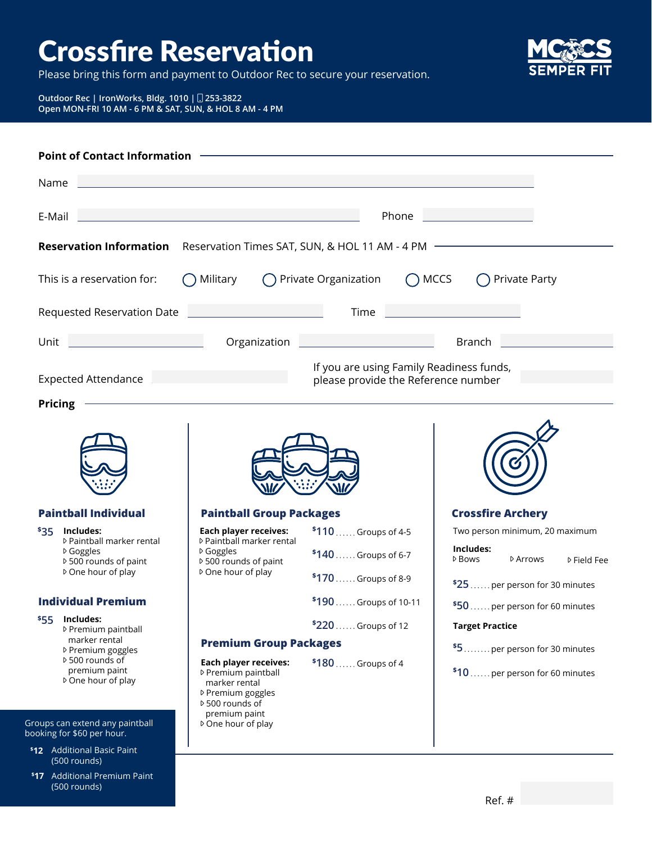## Crossfire Reservation

Please bring this form and payment to Outdoor Rec to secure your reservation.



## **Outdoor Rec | IronWorks, Bldg. 1010 | 253-3822 Open MON-FRI 10 AM - 6 PM & SAT, SUN, & HOL 8 AM - 4 PM**

| <b>Point of Contact Information</b>                                                 |                                                                                                                               |                                                                                 |                                                                                                |
|-------------------------------------------------------------------------------------|-------------------------------------------------------------------------------------------------------------------------------|---------------------------------------------------------------------------------|------------------------------------------------------------------------------------------------|
| Name                                                                                |                                                                                                                               |                                                                                 |                                                                                                |
| E-Mail                                                                              | and the state of the state of the state of                                                                                    | Phone                                                                           |                                                                                                |
| <b>Reservation Information</b>                                                      |                                                                                                                               | Reservation Times SAT, SUN, & HOL 11 AM - 4 PM -                                |                                                                                                |
| This is a reservation for:                                                          | Military                                                                                                                      | ◯ Private Organization<br>$\bigcap$ MCCS                                        | Private Party                                                                                  |
| Requested Reservation Date                                                          |                                                                                                                               | <b>Time</b>                                                                     |                                                                                                |
| Unit                                                                                |                                                                                                                               |                                                                                 | Branch                                                                                         |
| <b>Expected Attendance</b>                                                          |                                                                                                                               | If you are using Family Readiness funds,<br>please provide the Reference number |                                                                                                |
| Pricing                                                                             |                                                                                                                               |                                                                                 |                                                                                                |
|                                                                                     |                                                                                                                               |                                                                                 |                                                                                                |
| <b>Paintball Individual</b>                                                         | <b>Paintball Group Packages</b>                                                                                               |                                                                                 | <b>Crossfire Archery</b>                                                                       |
| Includes:<br>535<br>▷ Paintball marker rental<br>▷ Goggles<br>▷ 500 rounds of paint | <b>Each player receives:</b><br>▷ Paintball marker rental<br>▷ Goggles<br>▷ 500 rounds of paint                               | \$110  Groups of 4-5<br>$$140$ Groups of 6-7                                    | Two person minimum, 20 maximum<br>Includes:<br><b>▷ Bows</b><br>D Arrows<br><b>▷ Field Fee</b> |
| ▷ One hour of play                                                                  | ▷ One hour of play                                                                                                            | \$170  Groups of 8-9                                                            | \$25  per person for 30 minutes                                                                |
| <b>Individual Premium</b>                                                           |                                                                                                                               | \$190  Groups of 10-11                                                          | \$50  per person for 60 minutes                                                                |
| Includes:<br>\$55<br>▷ Premium paintball                                            |                                                                                                                               | \$220  Groups of 12                                                             | <b>Target Practice</b>                                                                         |
| marker rental<br>▷ Premium goggles                                                  | <b>Premium Group Packages</b>                                                                                                 |                                                                                 | \$5  per person for 30 minutes                                                                 |
| ▷ 500 rounds of<br>premium paint<br>▷ One hour of play                              | <b>Each player receives:</b><br>▷ Premium paintball<br>marker rental<br>▷ Premium goggles<br>▷ 500 rounds of<br>premium paint | $$180$ Groups of 4                                                              | \$10  per person for 60 minutes                                                                |
| Groups can extend any paintball<br>booking for \$60 per hour.                       | ▷ One hour of play                                                                                                            |                                                                                 |                                                                                                |
| \$12 Additional Basic Paint<br>(500 rounds)                                         |                                                                                                                               |                                                                                 |                                                                                                |

Additional Premium Paint **\$ 17**(500 rounds)